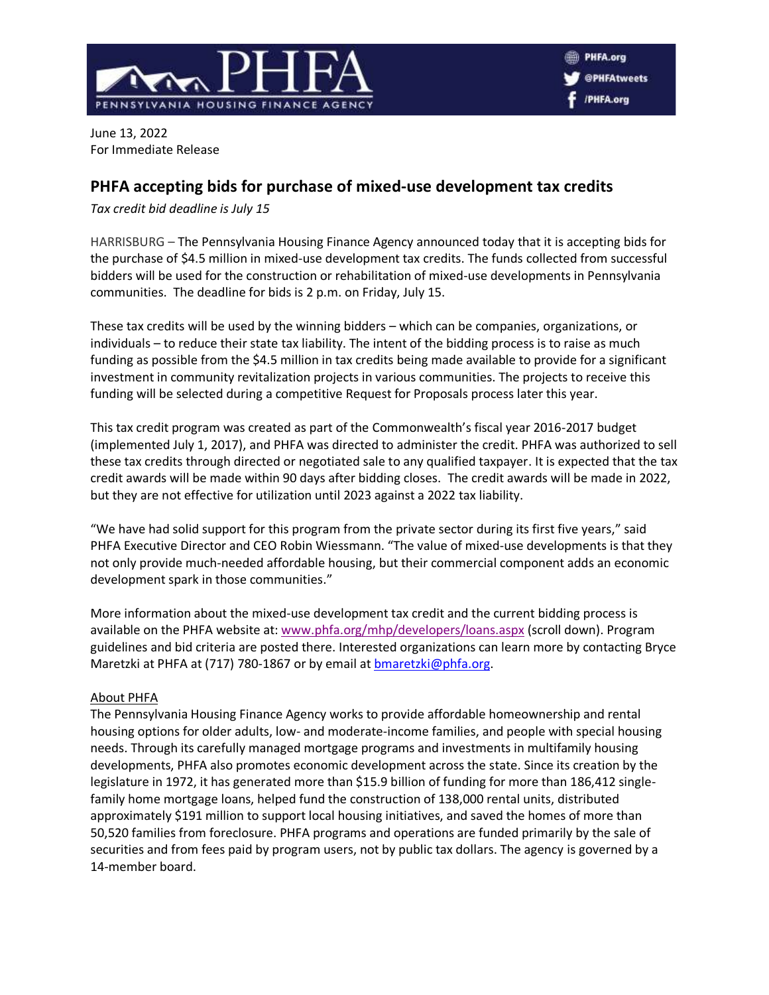

June 13, 2022 For Immediate Release

## **PHFA accepting bids for purchase of mixed-use development tax credits**

*Tax credit bid deadline is July 15*

HARRISBURG – The Pennsylvania Housing Finance Agency announced today that it is accepting bids for the purchase of \$4.5 million in mixed-use development tax credits. The funds collected from successful bidders will be used for the construction or rehabilitation of mixed-use developments in Pennsylvania communities. The deadline for bids is 2 p.m. on Friday, July 15.

These tax credits will be used by the winning bidders – which can be companies, organizations, or individuals – to reduce their state tax liability. The intent of the bidding process is to raise as much funding as possible from the \$4.5 million in tax credits being made available to provide for a significant investment in community revitalization projects in various communities. The projects to receive this funding will be selected during a competitive Request for Proposals process later this year.

This tax credit program was created as part of the Commonwealth's fiscal year 2016-2017 budget (implemented July 1, 2017), and PHFA was directed to administer the credit. PHFA was authorized to sell these tax credits through directed or negotiated sale to any qualified taxpayer. It is expected that the tax credit awards will be made within 90 days after bidding closes. The credit awards will be made in 2022, but they are not effective for utilization until 2023 against a 2022 tax liability.

"We have had solid support for this program from the private sector during its first five years," said PHFA Executive Director and CEO Robin Wiessmann. "The value of mixed-use developments is that they not only provide much-needed affordable housing, but their commercial component adds an economic development spark in those communities."

More information about the mixed-use development tax credit and the current bidding process is available on the PHFA website at: [www.phfa.org/mhp/developers/loans.aspx](http://www.phfa.org/mhp/developers/loans.aspx) (scroll down). Program guidelines and bid criteria are posted there. Interested organizations can learn more by contacting Bryce Maretzki at PHFA at (717) 780-1867 or by email at [bmaretzki@phfa.org.](mailto:bmaretzki@phfa.org)

## About PHFA

The Pennsylvania Housing Finance Agency works to provide affordable homeownership and rental housing options for older adults, low- and moderate-income families, and people with special housing needs. Through its carefully managed mortgage programs and investments in multifamily housing developments, PHFA also promotes economic development across the state. Since its creation by the legislature in 1972, it has generated more than \$15.9 billion of funding for more than 186,412 singlefamily home mortgage loans, helped fund the construction of 138,000 rental units, distributed approximately \$191 million to support local housing initiatives, and saved the homes of more than 50,520 families from foreclosure. PHFA programs and operations are funded primarily by the sale of securities and from fees paid by program users, not by public tax dollars. The agency is governed by a 14-member board.